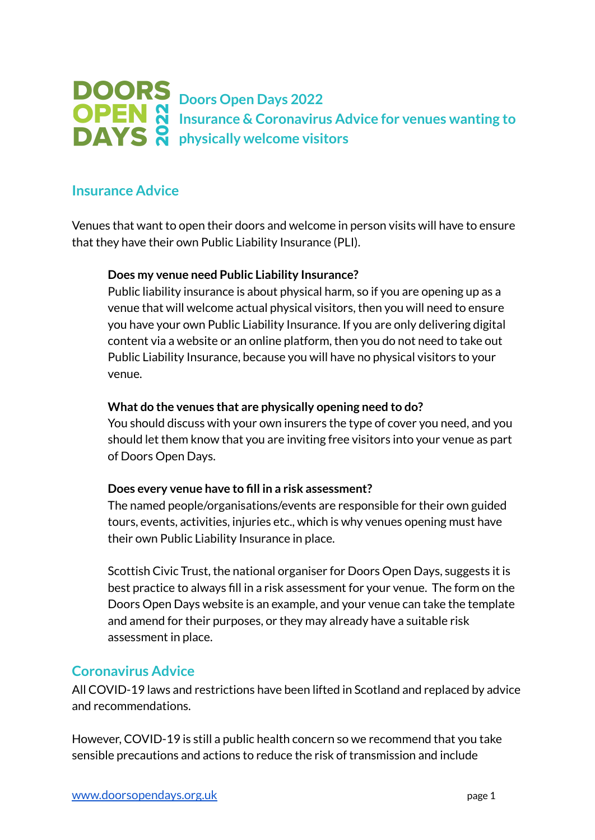# **Doors Open Days 2022 Insurance & Coronavirus Advice for venues wanting to physically welcome visitors**

# **Insurance Advice**

Venues that want to open their doors and welcome in person visits will have to ensure that they have their own Public Liability Insurance (PLI).

## **Does my venue need Public Liability Insurance?**

Public liability insurance is about physical harm, so if you are opening up as a venue that will welcome actual physical visitors, then you will need to ensure you have your own Public Liability Insurance. If you are only delivering digital content via a website or an online platform, then you do not need to take out Public Liability Insurance, because you will have no physical visitors to your venue.

## **What do the venues that are physically opening need to do?**

You should discuss with your own insurers the type of cover you need, and you should let them know that you are inviting free visitors into your venue as part of Doors Open Days.

## **Does every venue have to fill in a risk assessment?**

The named people/organisations/events are responsible for their own guided tours, events, activities, injuries etc., which is why venues opening must have their own Public Liability Insurance in place.

Scottish Civic Trust, the national organiser for Doors Open Days, suggests it is best practice to always fill in a risk assessment for your venue. The form on the Doors Open Days website is an example, and your venue can take the template and amend for their purposes, or they may already have a suitable risk assessment in place.

# **Coronavirus Advice**

All COVID-19 laws and restrictions have been lifted in Scotland and replaced by advice and recommendations.

However, COVID-19 is still a public health concern so we recommend that you take sensible precautions and actions to reduce the risk of transmission and include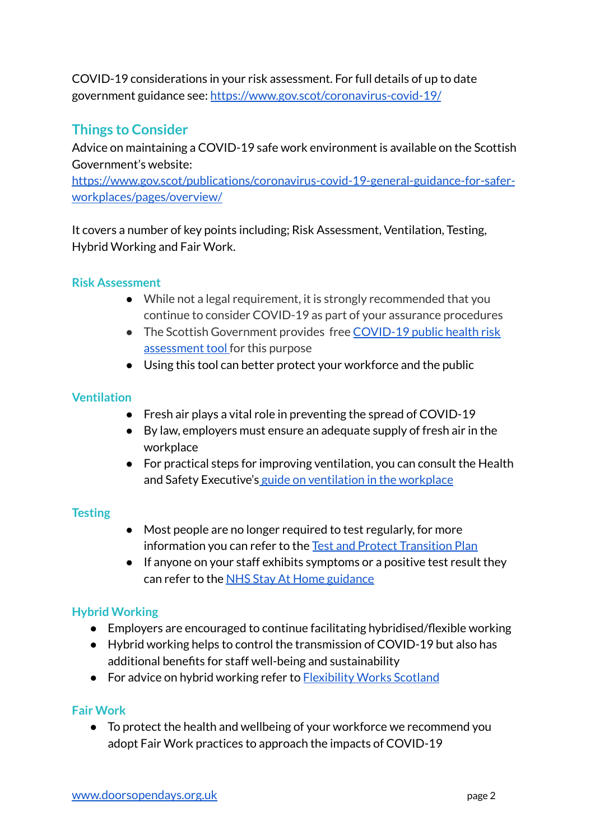COVID-19 considerations in your risk assessment. For full details of up to date government guidance see: <https://www.gov.scot/coronavirus-covid-19/>

# **Things to Consider**

Advice on maintaining a COVID-19 safe work environment is available on the Scottish Government's website:

[https://www.gov.scot/publications/coronavirus-covid-19-general-guidance-for-safer](https://www.gov.scot/publications/coronavirus-covid-19-general-guidance-for-safer-workplaces/pages/overview/)[workplaces/pages/overview/](https://www.gov.scot/publications/coronavirus-covid-19-general-guidance-for-safer-workplaces/pages/overview/)

It covers a number of key points including; Risk Assessment, Ventilation, Testing, Hybrid Working and Fair Work.

## **Risk Assessment**

- While not a legal requirement, it is strongly recommended that you continue to consider COVID-19 as part of your assurance procedures
- The Scottish Government provides free [COVID-19](https://www.gov.scot/publications/coronavirus-covid-19-general-guidance-for-safer-workplaces/documents/) public health risk [assessment](https://www.gov.scot/publications/coronavirus-covid-19-general-guidance-for-safer-workplaces/documents/) tool for this purpose
- Using this tool can better protect your workforce and the public

## **Ventilation**

- Fresh air plays a vital role in preventing the spread of COVID-19
- By law, employers must ensure an adequate supply of fresh air in the workplace
- For practical steps for improving ventilation, you can consult the Health and Safety Executive's guide on [ventilation](https://www.hse.gov.uk/ventilation/overview.htm) in the workplace

## **Testing**

- Most people are no longer required to test regularly, for more information you can refer to the Test and Protect [Transition](https://www.gov.scot/publications/test-protect-transition-plan/) Plan
- If anyone on your staff exhibits symptoms or a positive test result they can refer to the NHS Stay At Home [guidance](https://www.nhsinform.scot/illnesses-and-conditions/infections-and-poisoning/coronavirus-covid-19/coronavirus-covid-19)

# **Hybrid Working**

- Employers are encouraged to continue facilitating hybridised/flexible working
- Hybrid working helps to control the transmission of COVID-19 but also has additional benefits for staff well-being and sustainability
- For advice on hybrid working refer to **[Flexibility](https://www.flexibilityworks.org/hybrid-working-manager-guide/) Works Scotland**

# **Fair Work**

● To protect the health and wellbeing of your workforce we recommend you adopt Fair Work practices to approach the impacts of COVID-19